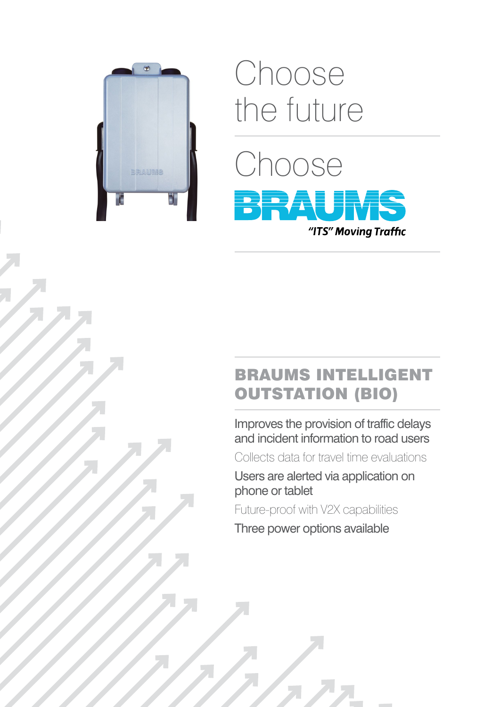

# Choose the future



## BRAUMS INTELLIGENT OUTSTATION (BIO)

Improves the provision of traffic delays and incident information to road users

Collects data for travel time evaluations

Users are alerted via application on phone or tablet

Future-proof with V2X capabilities

Three power options available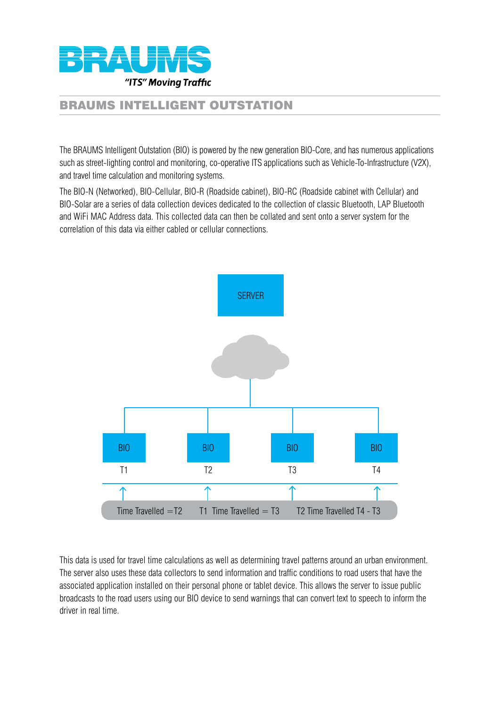

### BRAUMS INTELLIGENT OUTSTATION

The BRAUMS Intelligent Outstation (BIO) is powered by the new generation BIO-Core, and has numerous applications such as street-lighting control and monitoring, co-operative ITS applications such as Vehicle-To-Infrastructure (V2X), and travel time calculation and monitoring systems.

The BIO-N (Networked), BIO-Cellular, BIO-R (Roadside cabinet), BIO-RC (Roadside cabinet with Cellular) and BIO-Solar are a series of data collection devices dedicated to the collection of classic Bluetooth, LAP Bluetooth and WiFi MAC Address data. This collected data can then be collated and sent onto a server system for the correlation of this data via either cabled or cellular connections.



This data is used for travel time calculations as well as determining travel patterns around an urban environment. The server also uses these data collectors to send information and traffic conditions to road users that have the associated application installed on their personal phone or tablet device. This allows the server to issue public broadcasts to the road users using our BIO device to send warnings that can convert text to speech to inform the driver in real time.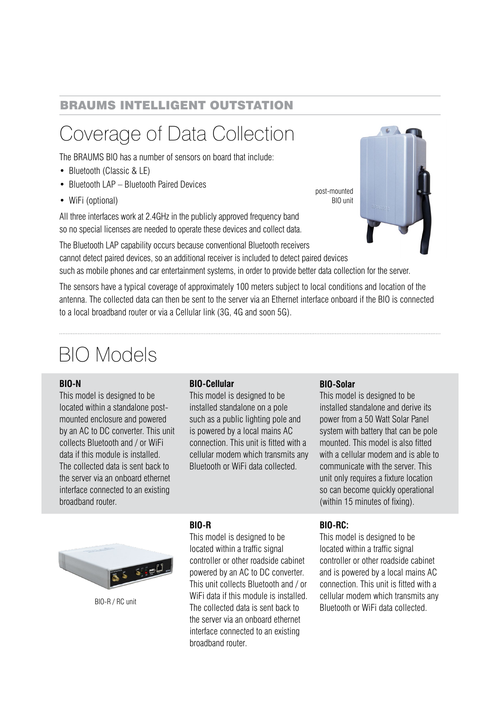### BRAUMS INTELLIGENT OUTSTATION

# Coverage of Data Collection

The BRAUMS BIO has a number of sensors on board that include:

- Bluetooth (Classic & LE)
- Bluetooth LAP Bluetooth Paired Devices
- WiFi (optional)

All three interfaces work at 2.4GHz in the publicly approved frequency band so no special licenses are needed to operate these devices and collect data.



The Bluetooth LAP capability occurs because conventional Bluetooth receivers cannot detect paired devices, so an additional receiver is included to detect paired devices such as mobile phones and car entertainment systems, in order to provide better data collection for the server.

The sensors have a typical coverage of approximately 100 meters subject to local conditions and location of the antenna. The collected data can then be sent to the server via an Ethernet interface onboard if the BIO is connected to a local broadband router or via a Cellular link (3G, 4G and soon 5G).

# BIO Models

#### **BIO-N**

This model is designed to be located within a standalone postmounted enclosure and powered by an AC to DC converter. This unit collects Bluetooth and / or WiFi data if this module is installed. The collected data is sent back to the server via an onboard ethernet interface connected to an existing broadband router.

#### **BIO-Cellular**

This model is designed to be installed standalone on a pole such as a public lighting pole and is powered by a local mains AC connection. This unit is fitted with a cellular modem which transmits any Bluetooth or WiFi data collected.

#### **BIO-Solar**

This model is designed to be installed standalone and derive its power from a 50 Watt Solar Panel system with battery that can be pole mounted. This model is also fitted with a cellular modem and is able to communicate with the server. This unit only requires a fixture location so can become quickly operational (within 15 minutes of fixing).



BIO-R / RC unit

#### **BIO-R**

This model is designed to be located within a traffic signal controller or other roadside cabinet powered by an AC to DC converter. This unit collects Bluetooth and / or WiFi data if this module is installed. The collected data is sent back to the server via an onboard ethernet interface connected to an existing broadband router.

#### **BIO-RC:**

This model is designed to be located within a traffic signal controller or other roadside cabinet and is powered by a local mains AC connection. This unit is fitted with a cellular modem which transmits any Bluetooth or WiFi data collected.